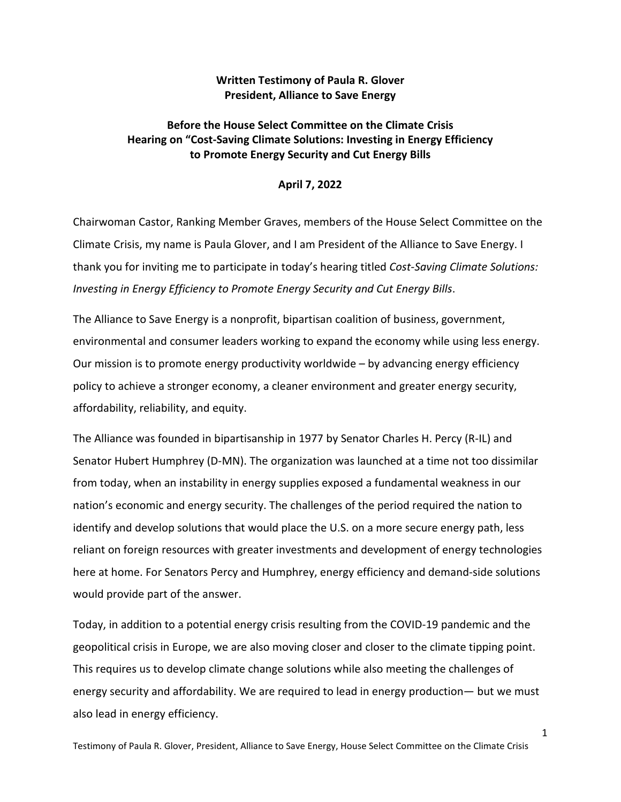## **Written Testimony of Paula R. Glover President, Alliance to Save Energy**

## **Before the House Select Committee on the Climate Crisis Hearing on "Cost-Saving Climate Solutions: Investing in Energy Efficiency to Promote Energy Security and Cut Energy Bills**

## **April 7, 2022**

Chairwoman Castor, Ranking Member Graves, members of the House Select Committee on the Climate Crisis, my name is Paula Glover, and I am President of the Alliance to Save Energy. I thank you for inviting me to participate in today's hearing titled *Cost-Saving Climate Solutions: Investing in Energy Efficiency to Promote Energy Security and Cut Energy Bills*.

The Alliance to Save Energy is a nonprofit, bipartisan coalition of business, government, environmental and consumer leaders working to expand the economy while using less energy. Our mission is to promote energy productivity worldwide – by advancing energy efficiency policy to achieve a stronger economy, a cleaner environment and greater energy security, affordability, reliability, and equity.

The Alliance was founded in bipartisanship in 1977 by Senator Charles H. Percy (R-IL) and Senator Hubert Humphrey (D-MN). The organization was launched at a time not too dissimilar from today, when an instability in energy supplies exposed a fundamental weakness in our nation's economic and energy security. The challenges of the period required the nation to identify and develop solutions that would place the U.S. on a more secure energy path, less reliant on foreign resources with greater investments and development of energy technologies here at home. For Senators Percy and Humphrey, energy efficiency and demand-side solutions would provide part of the answer.

Today, in addition to a potential energy crisis resulting from the COVID-19 pandemic and the geopolitical crisis in Europe, we are also moving closer and closer to the climate tipping point. This requires us to develop climate change solutions while also meeting the challenges of energy security and affordability. We are required to lead in energy production— but we must also lead in energy efficiency.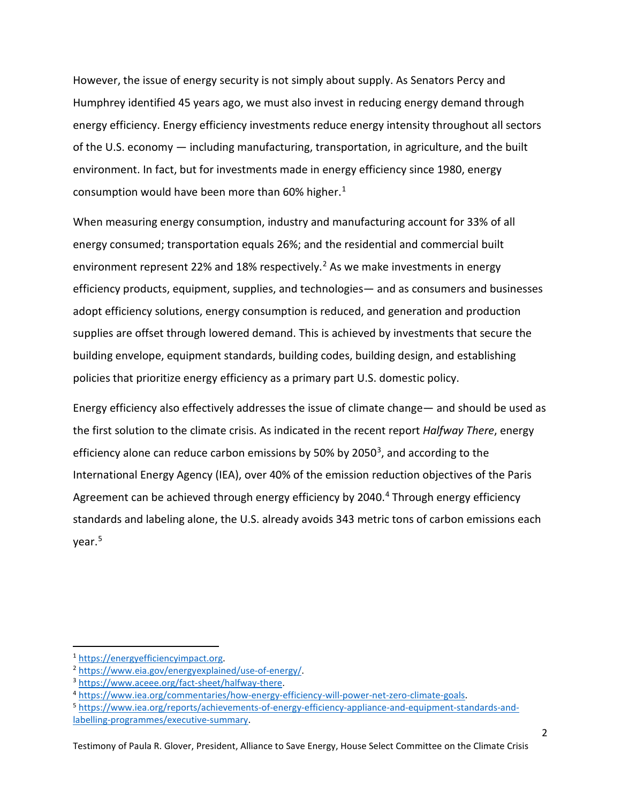However, the issue of energy security is not simply about supply. As Senators Percy and Humphrey identified 45 years ago, we must also invest in reducing energy demand through energy efficiency. Energy efficiency investments reduce energy intensity throughout all sectors of the U.S. economy — including manufacturing, transportation, in agriculture, and the built environment. In fact, but for investments made in energy efficiency since 1980, energy consumption would have been more than 60% higher. $1$ 

When measuring energy consumption, industry and manufacturing account for 33% of all energy consumed; transportation equals 26%; and the residential and commercial built environment represent [2](#page-1-1)2% and 18% respectively.<sup>2</sup> As we make investments in energy efficiency products, equipment, supplies, and technologies— and as consumers and businesses adopt efficiency solutions, energy consumption is reduced, and generation and production supplies are offset through lowered demand. This is achieved by investments that secure the building envelope, equipment standards, building codes, building design, and establishing policies that prioritize energy efficiency as a primary part U.S. domestic policy.

Energy efficiency also effectively addresses the issue of climate change— and should be used as the first solution to the climate crisis. As indicated in the recent report *Halfway There*, energy efficiency alone can reduce carbon emissions by 50% by 2050<sup>3</sup>, and according to the International Energy Agency (IEA), over 40% of the emission reduction objectives of the Paris Agreement can be achieved through energy efficiency by 20[4](#page-1-3)0.<sup>4</sup> Through energy efficiency standards and labeling alone, the U.S. already avoids 343 metric tons of carbon emissions each year. [5](#page-1-4)

<span id="page-1-0"></span>

<span id="page-1-1"></span>

<span id="page-1-3"></span><span id="page-1-2"></span>

<span id="page-1-4"></span>

<sup>&</sup>lt;sup>1</sup><br>
https://www.eia.gov/energyexplained/use-of-energy/<br>
<sup>3</sup><br>
https://www.aceee.org/fact-sheet/halfway-there.<br>
<sup>4</sup><br> [https://www.iea.org/commentaries/how-energy-efficiency-will-power-net-zero-climate-goals.](https://www.iea.org/commentaries/how-energy-efficiency-will-power-net-zero-climate-goals)<br>
<sup>5</sup><br>
https://ww [labelling-programmes/executive-summary.](https://www.iea.org/reports/achievements-of-energy-efficiency-appliance-and-equipment-standards-and-labelling-programmes/executive-summary)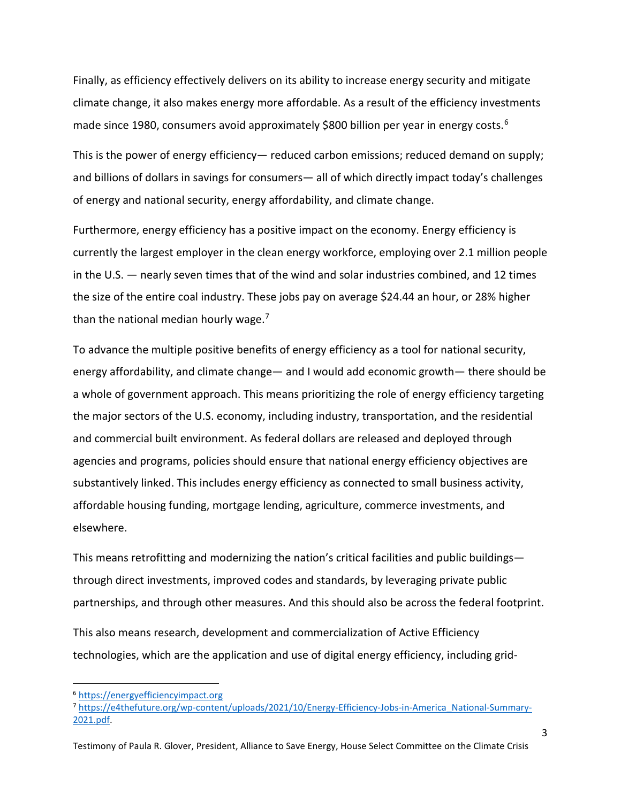Finally, as efficiency effectively delivers on its ability to increase energy security and mitigate climate change, it also makes energy more affordable. As a result of the efficiency investments made since 1980, consumers avoid approximately \$800 billion per year in energy costs.<sup>[6](#page-2-0)</sup>

This is the power of energy efficiency— reduced carbon emissions; reduced demand on supply; and billions of dollars in savings for consumers— all of which directly impact today's challenges of energy and national security, energy affordability, and climate change.

Furthermore, energy efficiency has a positive impact on the economy. Energy efficiency is currently the largest employer in the clean energy workforce, employing over 2.1 million people in the U.S. — nearly seven times that of the wind and solar industries combined, and 12 times the size of the entire coal industry. These jobs pay on average \$24.44 an hour, or 28% higher than the national median hourly wage.<sup>[7](#page-2-1)</sup>

To advance the multiple positive benefits of energy efficiency as a tool for national security, energy affordability, and climate change— and I would add economic growth— there should be a whole of government approach. This means prioritizing the role of energy efficiency targeting the major sectors of the U.S. economy, including industry, transportation, and the residential and commercial built environment. As federal dollars are released and deployed through agencies and programs, policies should ensure that national energy efficiency objectives are substantively linked. This includes energy efficiency as connected to small business activity, affordable housing funding, mortgage lending, agriculture, commerce investments, and elsewhere.

This means retrofitting and modernizing the nation's critical facilities and public buildings through direct investments, improved codes and standards, by leveraging private public partnerships, and through other measures. And this should also be across the federal footprint.

This also means research, development and commercialization of Active Efficiency technologies, which are the application and use of digital energy efficiency, including grid-

<span id="page-2-0"></span><sup>6</sup> [https://energyefficiencyimpact.org](https://energyefficiencyimpact.org/)

<span id="page-2-1"></span><sup>7</sup> [https://e4thefuture.org/wp-content/uploads/2021/10/Energy-Efficiency-Jobs-in-America\\_National-Summary-](https://e4thefuture.org/wp-content/uploads/2021/10/Energy-Efficiency-Jobs-in-America_National-Summary-2021.pdf)[2021.pdf.](https://e4thefuture.org/wp-content/uploads/2021/10/Energy-Efficiency-Jobs-in-America_National-Summary-2021.pdf)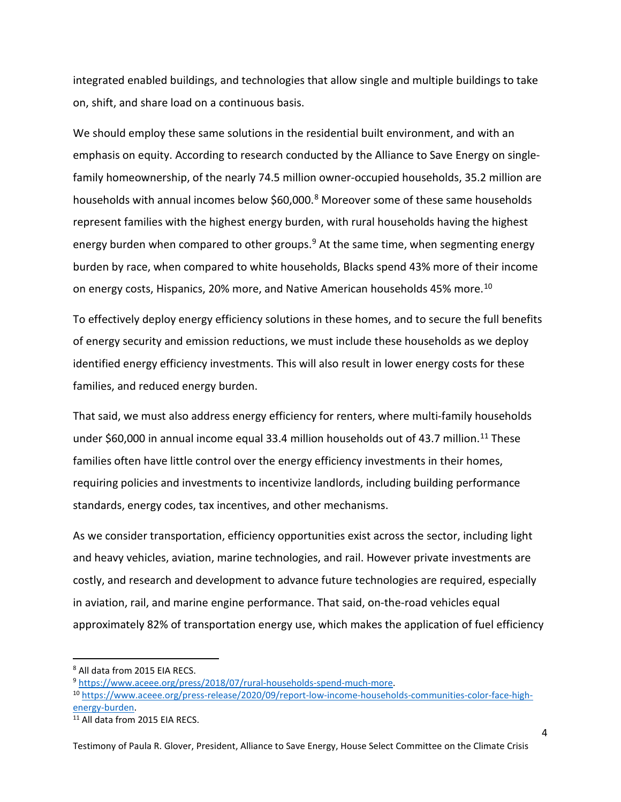integrated enabled buildings, and technologies that allow single and multiple buildings to take on, shift, and share load on a continuous basis.

We should employ these same solutions in the residential built environment, and with an emphasis on equity. According to research conducted by the Alliance to Save Energy on singlefamily homeownership, of the nearly 74.5 million owner-occupied households, 35.2 million are households with annual incomes below \$60,000.<sup>[8](#page-3-0)</sup> Moreover some of these same households represent families with the highest energy burden, with rural households having the highest energy burden when compared to other groups. $9$  At the same time, when segmenting energy burden by race, when compared to white households, Blacks spend 43% more of their income on energy costs, Hispanics, 20% more, and Native American households 45% more.<sup>10</sup>

To effectively deploy energy efficiency solutions in these homes, and to secure the full benefits of energy security and emission reductions, we must include these households as we deploy identified energy efficiency investments. This will also result in lower energy costs for these families, and reduced energy burden.

That said, we must also address energy efficiency for renters, where multi-family households under \$60,000 in annual income equal 33.4 million households out of 43.7 million.<sup>[11](#page-3-3)</sup> These families often have little control over the energy efficiency investments in their homes, requiring policies and investments to incentivize landlords, including building performance standards, energy codes, tax incentives, and other mechanisms.

As we consider transportation, efficiency opportunities exist across the sector, including light and heavy vehicles, aviation, marine technologies, and rail. However private investments are costly, and research and development to advance future technologies are required, especially in aviation, rail, and marine engine performance. That said, on-the-road vehicles equal approximately 82% of transportation energy use, which makes the application of fuel efficiency

Testimony of Paula R. Glover, President, Alliance to Save Energy, House Select Committee on the Climate Crisis

<span id="page-3-0"></span>

<span id="page-3-2"></span><span id="page-3-1"></span>

<sup>&</sup>lt;sup>8</sup> All data from 2015 EIA RECS.<br><sup>9</sup> https://www.aceee.org/press/2018/07/rural-households-spend-much-more.<br><sup>10</sup> [https://www.aceee.org/press-release/2020/09/report-low-income-households-communities-color-face-high](https://www.aceee.org/press-release/2020/09/report-low-income-households-communities-color-face-high-energy-burden)energy-burden.<br><sup>11</sup> All data from 2015 EIA RECS.

<span id="page-3-3"></span>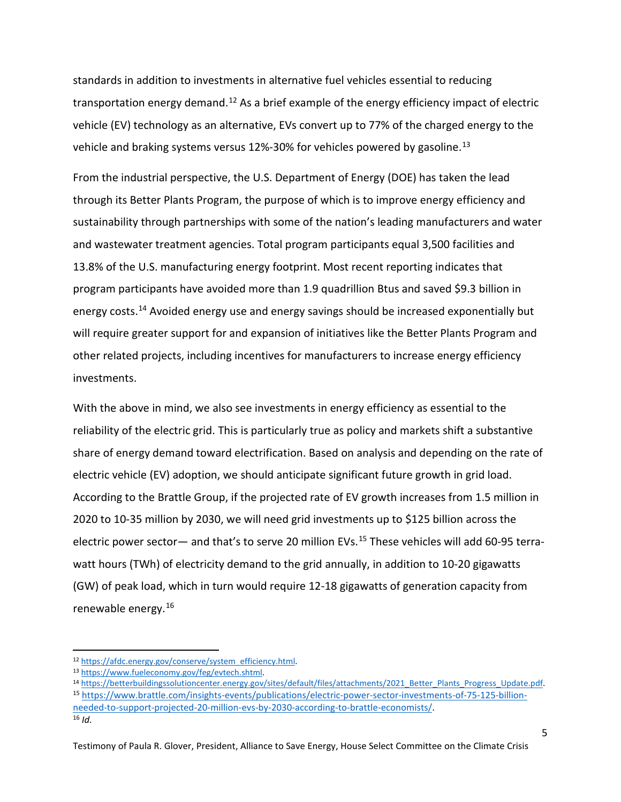standards in addition to investments in alternative fuel vehicles essential to reducing transportation energy demand.<sup>[12](#page-4-0)</sup> As a brief example of the energy efficiency impact of electric vehicle (EV) technology as an alternative, EVs convert up to 77% of the charged energy to the vehicle and braking systems versus  $12\%$ -30% for vehicles powered by gasoline.<sup>[13](#page-4-1)</sup>

From the industrial perspective, the U.S. Department of Energy (DOE) has taken the lead through its Better Plants Program, the purpose of which is to improve energy efficiency and sustainability through partnerships with some of the nation's leading manufacturers and water and wastewater treatment agencies. Total program participants equal 3,500 facilities and 13.8% of the U.S. manufacturing energy footprint. Most recent reporting indicates that program participants have avoided more than 1.9 quadrillion Btus and saved \$9.3 billion in energy costs.<sup>[14](#page-4-2)</sup> Avoided energy use and energy savings should be increased exponentially but will require greater support for and expansion of initiatives like the Better Plants Program and other related projects, including incentives for manufacturers to increase energy efficiency investments.

With the above in mind, we also see investments in energy efficiency as essential to the reliability of the electric grid. This is particularly true as policy and markets shift a substantive share of energy demand toward electrification. Based on analysis and depending on the rate of electric vehicle (EV) adoption, we should anticipate significant future growth in grid load. According to the Brattle Group, if the projected rate of EV growth increases from 1.5 million in 2020 to 10-35 million by 2030, we will need grid investments up to \$125 billion across the electric power sector— and that's to serve 20 million EVs.<sup>15</sup> These vehicles will add 60-95 terrawatt hours (TWh) of electricity demand to the grid annually, in addition to 10-20 gigawatts (GW) of peak load, which in turn would require 12-18 gigawatts of generation capacity from renewable energy.[16](#page-4-4) 

<span id="page-4-0"></span>

<span id="page-4-2"></span><span id="page-4-1"></span>

<sup>&</sup>lt;sup>12</sup> https://afdc.energy.gov/conserve/system\_efficiency.html<br><sup>13</sup> https://www.fueleconomy.gov/feg/evtech.shtml<br><sup>14</sup> https://betterbuildingssolutioncenter.energy.gov/sites/default/files/attachments/2021\_Better\_Plants\_Progre

<span id="page-4-4"></span><span id="page-4-3"></span>[needed-to-support-projected-20-million-evs-by-2030-according-to-brattle-economists/.](https://www.brattle.com/insights-events/publications/electric-power-sector-investments-of-75-125-billion-needed-to-support-projected-20-million-evs-by-2030-according-to-brattle-economists/) 16 *Id.*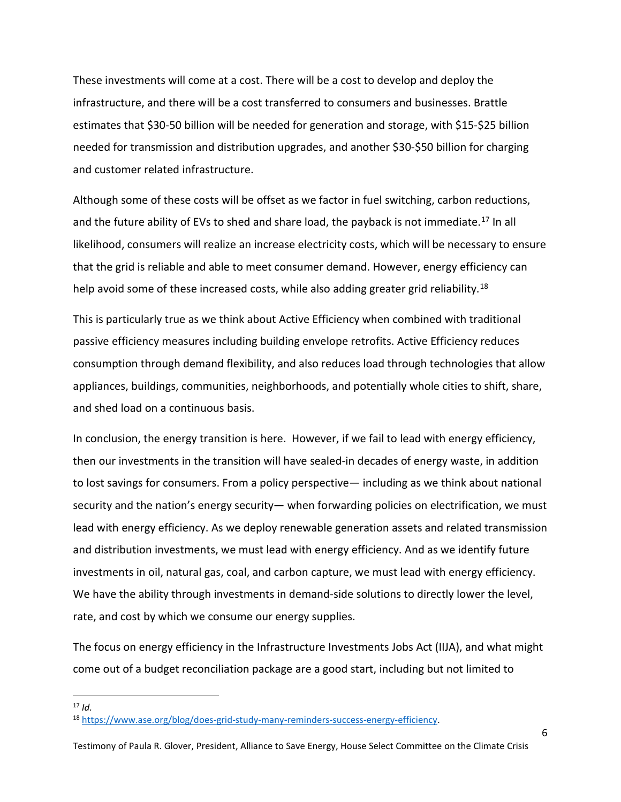These investments will come at a cost. There will be a cost to develop and deploy the infrastructure, and there will be a cost transferred to consumers and businesses. Brattle estimates that \$30-50 billion will be needed for generation and storage, with \$15-\$25 billion needed for transmission and distribution upgrades, and another \$30-\$50 billion for charging and customer related infrastructure.

Although some of these costs will be offset as we factor in fuel switching, carbon reductions, and the future ability of EVs to shed and share load, the payback is not immediate.<sup>[17](#page-5-0)</sup> In all likelihood, consumers will realize an increase electricity costs, which will be necessary to ensure that the grid is reliable and able to meet consumer demand. However, energy efficiency can help avoid some of these increased costs, while also adding greater grid reliability.<sup>[18](#page-5-1)</sup>

This is particularly true as we think about Active Efficiency when combined with traditional passive efficiency measures including building envelope retrofits. Active Efficiency reduces consumption through demand flexibility, and also reduces load through technologies that allow appliances, buildings, communities, neighborhoods, and potentially whole cities to shift, share, and shed load on a continuous basis.

In conclusion, the energy transition is here. However, if we fail to lead with energy efficiency, then our investments in the transition will have sealed-in decades of energy waste, in addition to lost savings for consumers. From a policy perspective— including as we think about national security and the nation's energy security— when forwarding policies on electrification, we must lead with energy efficiency. As we deploy renewable generation assets and related transmission and distribution investments, we must lead with energy efficiency. And as we identify future investments in oil, natural gas, coal, and carbon capture, we must lead with energy efficiency. We have the ability through investments in demand-side solutions to directly lower the level, rate, and cost by which we consume our energy supplies.

The focus on energy efficiency in the Infrastructure Investments Jobs Act (IIJA), and what might come out of a budget reconciliation package are a good start, including but not limited to

<span id="page-5-0"></span> $17$  *Id.* 

<span id="page-5-1"></span><sup>18</sup> [https://www.ase.org/blog/does-grid-study-many-reminders-success-energy-efficiency.](https://www.ase.org/blog/does-grid-study-many-reminders-success-energy-efficiency)